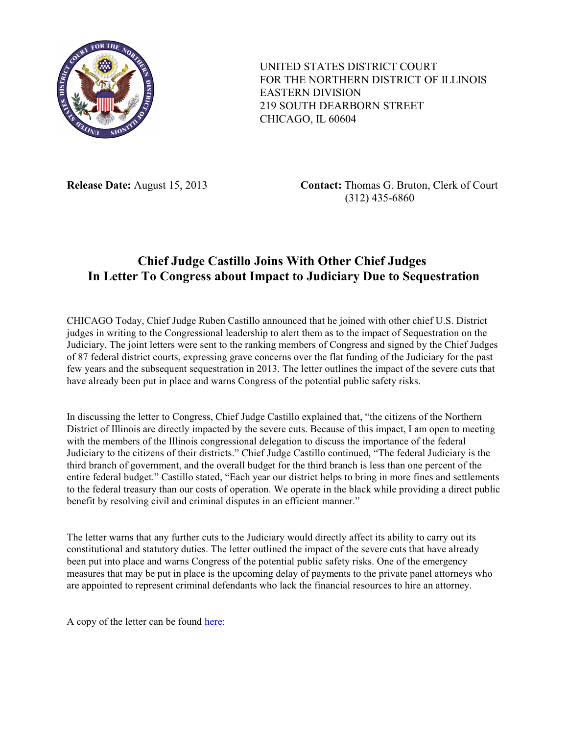

UNITED STATES DISTRICT COURT FOR THE NORTHERN DISTRICT OF ILLINOIS EASTERN DIVISION 219 SOUTH DEARBORN STREET CHICAGO, IL 60604

**Release Date:** August 15, 2013 **Contact:** Thomas G. Bruton, Clerk of Court (312) 435-6860

## **Chief Judge Castillo Joins With Other Chief Judges In Letter To Congress about Impact to Judiciary Due to Sequestration**

CHICAGO Today, Chief Judge Ruben Castillo announced that he joined with other chief U.S. District judges in writing to the Congressional leadership to alert them as to the impact of Sequestration on the Judiciary. The joint letters were sent to the ranking members of Congress and signed by the Chief Judges of 87 federal district courts, expressing grave concerns over the flat funding of the Judiciary for the past few years and the subsequent sequestration in 2013. The letter outlines the impact of the severe cuts that have already been put in place and warns Congress of the potential public safety risks.

In discussing the letter to Congress, Chief Judge Castillo explained that, "the citizens of the Northern District of Illinois are directly impacted by the severe cuts. Because of this impact, I am open to meeting with the members of the Illinois congressional delegation to discuss the importance of the federal Judiciary to the citizens of their districts." Chief Judge Castillo continued, "The federal Judiciary is the third branch of government, and the overall budget for the third branch is less than one percent of the entire federal budget." Castillo stated, "Each year our district helps to bring in more fines and settlements to the federal treasury than our costs of operation. We operate in the black while providing a direct public benefit by resolving civil and criminal disputes in an efficient manner."

The letter warns that any further cuts to the Judiciary would directly affect its ability to carry out its constitutional and statutory duties. The letter outlined the impact of the severe cuts that have already been put into place and warns Congress of the potential public safety risks. One of the emergency measures that may be put in place is the upcoming delay of payments to the private panel attorneys who are appointed to represent criminal defendants who lack the financial resources to hire an attorney.

A copy of the letter can be found [here](http://www.ilnd.uscourts.gov/_assets/_news/ChiefJudge-Letter.pdf):